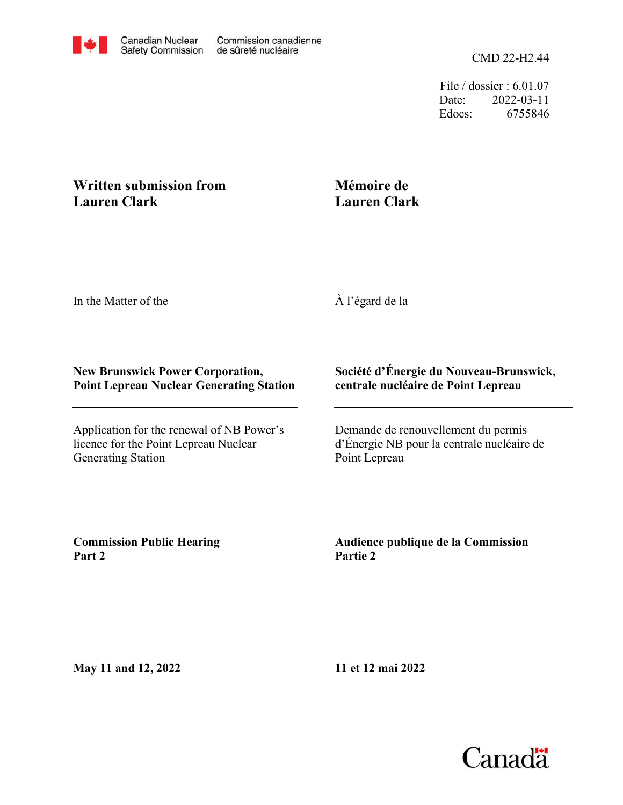File / dossier : 6.01.07 Date: 2022-03-11 Edocs: 6755846

## **Written submission from Lauren Clark**

## **Mémoire de Lauren Clark**

In the Matter of the

À l'égard de la

## **New Brunswick Power Corporation, Point Lepreau Nuclear Generating Station**

Application for the renewal of NB Power's licence for the Point Lepreau Nuclear Generating Station

## **Société d'Énergie du Nouveau-Brunswick, centrale nucléaire de Point Lepreau**

Demande de renouvellement du permis d'Énergie NB pour la centrale nucléaire de Point Lepreau

**Commission Public Hearing Part 2**

**Audience publique de la Commission Partie 2**

**May 11 and 12, 2022**

**11 et 12 mai 2022**